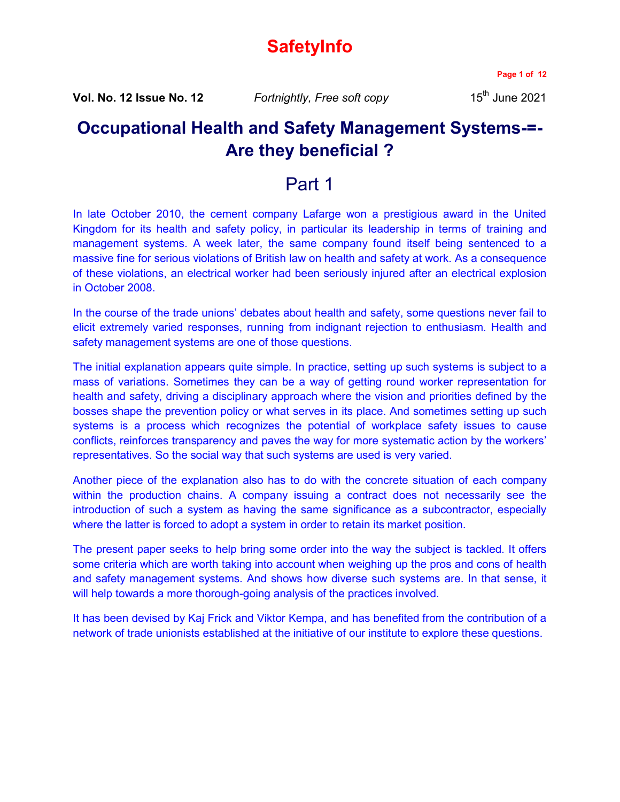# **SafetyInfo**

**Page 1 of 12**

**Vol. No. 12 Issue No. 12** *Fortnightly, Free soft copy* 15<sup>th</sup> June 2021

## **Occupational Health and Safety Management Systems-=- Are they beneficial ?**

## Part 1

In late October 2010, the cement company Lafarge won a prestigious award in the United Kingdom for its health and safety policy, in particular its leadership in terms of training and management systems. A week later, the same company found itself being sentenced to a massive fine for serious violations of British law on health and safety at work. As a consequence of these violations, an electrical worker had been seriously injured after an electrical explosion in October 2008.

In the course of the trade unions' debates about health and safety, some questions never fail to elicit extremely varied responses, running from indignant rejection to enthusiasm. Health and safety management systems are one of those questions.

The initial explanation appears quite simple. In practice, setting up such systems is subject to a mass of variations. Sometimes they can be a way of getting round worker representation for health and safety, driving a disciplinary approach where the vision and priorities defined by the bosses shape the prevention policy or what serves in its place. And sometimes setting up such systems is a process which recognizes the potential of workplace safety issues to cause conflicts, reinforces transparency and paves the way for more systematic action by the workers' representatives. So the social way that such systems are used is very varied.

Another piece of the explanation also has to do with the concrete situation of each company within the production chains. A company issuing a contract does not necessarily see the introduction of such a system as having the same significance as a subcontractor, especially where the latter is forced to adopt a system in order to retain its market position.

The present paper seeks to help bring some order into the way the subject is tackled. It offers some criteria which are worth taking into account when weighing up the pros and cons of health and safety management systems. And shows how diverse such systems are. In that sense, it will help towards a more thorough-going analysis of the practices involved.

It has been devised by Kaj Frick and Viktor Kempa, and has benefited from the contribution of a network of trade unionists established at the initiative of our institute to explore these questions.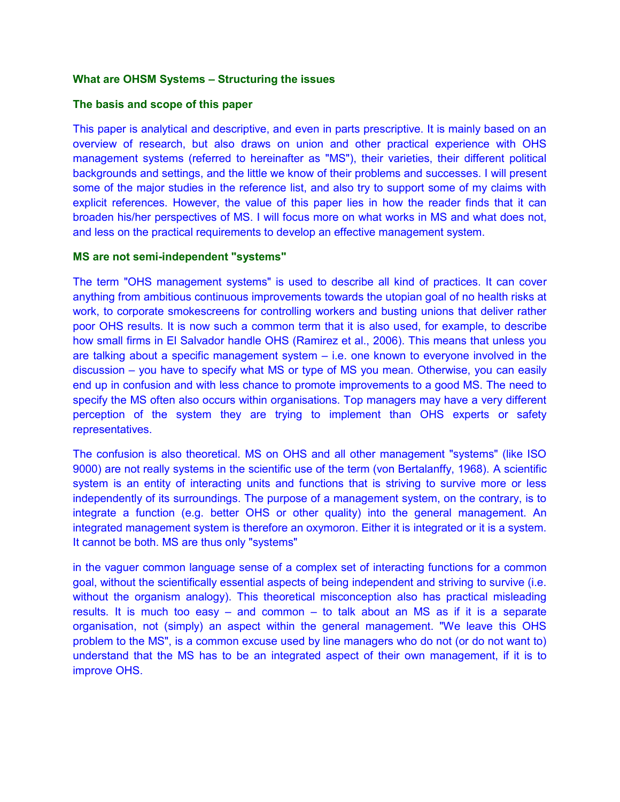### **What are OHSM Systems – Structuring the issues**

#### **The basis and scope of this paper**

This paper is analytical and descriptive, and even in parts prescriptive. It is mainly based on an overview of research, but also draws on union and other practical experience with OHS management systems (referred to hereinafter as "MS"), their varieties, their different political backgrounds and settings, and the little we know of their problems and successes. I will present some of the major studies in the reference list, and also try to support some of my claims with explicit references. However, the value of this paper lies in how the reader finds that it can broaden his/her perspectives of MS. I will focus more on what works in MS and what does not, and less on the practical requirements to develop an effective management system.

#### **MS are not semi-independent "systems"**

The term "OHS management systems" is used to describe all kind of practices. It can cover anything from ambitious continuous improvements towards the utopian goal of no health risks at work, to corporate smokescreens for controlling workers and busting unions that deliver rather poor OHS results. It is now such a common term that it is also used, for example, to describe how small firms in El Salvador handle OHS (Ramirez et al., 2006). This means that unless you are talking about a specific management system – i.e. one known to everyone involved in the discussion – you have to specify what MS or type of MS you mean. Otherwise, you can easily end up in confusion and with less chance to promote improvements to a good MS. The need to specify the MS often also occurs within organisations. Top managers may have a very different perception of the system they are trying to implement than OHS experts or safety representatives.

The confusion is also theoretical. MS on OHS and all other management "systems" (like ISO 9000) are not really systems in the scientific use of the term (von Bertalanffy, 1968). A scientific system is an entity of interacting units and functions that is striving to survive more or less independently of its surroundings. The purpose of a management system, on the contrary, is to integrate a function (e.g. better OHS or other quality) into the general management. An integrated management system is therefore an oxymoron. Either it is integrated or it is a system. It cannot be both. MS are thus only "systems"

in the vaguer common language sense of a complex set of interacting functions for a common goal, without the scientifically essential aspects of being independent and striving to survive (i.e. without the organism analogy). This theoretical misconception also has practical misleading results. It is much too easy – and common – to talk about an MS as if it is a separate organisation, not (simply) an aspect within the general management. "We leave this OHS problem to the MS", is a common excuse used by line managers who do not (or do not want to) understand that the MS has to be an integrated aspect of their own management, if it is to improve OHS.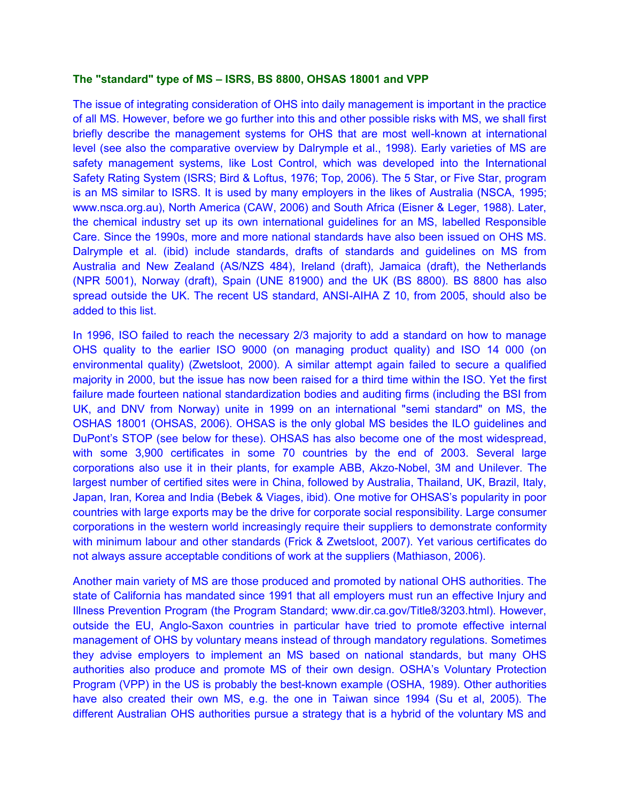#### **The "standard" type of MS – ISRS, BS 8800, OHSAS 18001 and VPP**

The issue of integrating consideration of OHS into daily management is important in the practice of all MS. However, before we go further into this and other possible risks with MS, we shall first briefly describe the management systems for OHS that are most well-known at international level (see also the comparative overview by Dalrymple et al., 1998). Early varieties of MS are safety management systems, like Lost Control, which was developed into the International Safety Rating System (ISRS; Bird & Loftus, 1976; Top, 2006). The 5 Star, or Five Star, program is an MS similar to ISRS. It is used by many employers in the likes of Australia (NSCA, 1995; www.nsca.org.au), North America (CAW, 2006) and South Africa (Eisner & Leger, 1988). Later, the chemical industry set up its own international guidelines for an MS, labelled Responsible Care. Since the 1990s, more and more national standards have also been issued on OHS MS. Dalrymple et al. (ibid) include standards, drafts of standards and guidelines on MS from Australia and New Zealand (AS/NZS 484), Ireland (draft), Jamaica (draft), the Netherlands (NPR 5001), Norway (draft), Spain (UNE 81900) and the UK (BS 8800). BS 8800 has also spread outside the UK. The recent US standard, ANSI-AIHA Z 10, from 2005, should also be added to this list.

In 1996, ISO failed to reach the necessary 2/3 majority to add a standard on how to manage OHS quality to the earlier ISO 9000 (on managing product quality) and ISO 14 000 (on environmental quality) (Zwetsloot, 2000). A similar attempt again failed to secure a qualified majority in 2000, but the issue has now been raised for a third time within the ISO. Yet the first failure made fourteen national standardization bodies and auditing firms (including the BSI from UK, and DNV from Norway) unite in 1999 on an international "semi standard" on MS, the OSHAS 18001 (OHSAS, 2006). OHSAS is the only global MS besides the ILO guidelines and DuPont's STOP (see below for these). OHSAS has also become one of the most widespread, with some 3,900 certificates in some 70 countries by the end of 2003. Several large corporations also use it in their plants, for example ABB, Akzo-Nobel, 3M and Unilever. The largest number of certified sites were in China, followed by Australia, Thailand, UK, Brazil, Italy, Japan, Iran, Korea and India (Bebek & Viages, ibid). One motive for OHSAS's popularity in poor countries with large exports may be the drive for corporate social responsibility. Large consumer corporations in the western world increasingly require their suppliers to demonstrate conformity with minimum labour and other standards (Frick & Zwetsloot, 2007). Yet various certificates do not always assure acceptable conditions of work at the suppliers (Mathiason, 2006).

Another main variety of MS are those produced and promoted by national OHS authorities. The state of California has mandated since 1991 that all employers must run an effective Injury and Illness Prevention Program (the Program Standard; www.dir.ca.gov/Title8/3203.html). However, outside the EU, Anglo-Saxon countries in particular have tried to promote effective internal management of OHS by voluntary means instead of through mandatory regulations. Sometimes they advise employers to implement an MS based on national standards, but many OHS authorities also produce and promote MS of their own design. OSHA's Voluntary Protection Program (VPP) in the US is probably the best-known example (OSHA, 1989). Other authorities have also created their own MS, e.g. the one in Taiwan since 1994 (Su et al, 2005). The different Australian OHS authorities pursue a strategy that is a hybrid of the voluntary MS and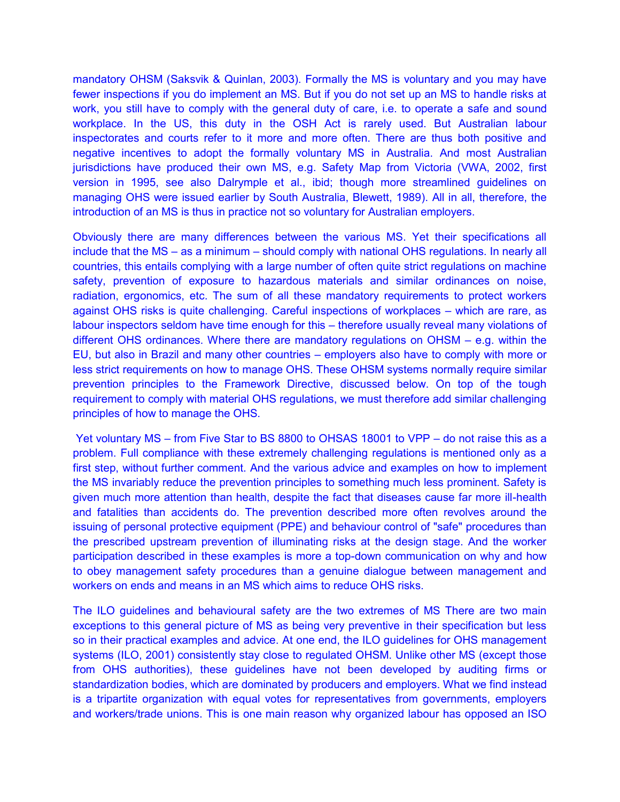mandatory OHSM (Saksvik & Quinlan, 2003). Formally the MS is voluntary and you may have fewer inspections if you do implement an MS. But if you do not set up an MS to handle risks at work, you still have to comply with the general duty of care, i.e. to operate a safe and sound workplace. In the US, this duty in the OSH Act is rarely used. But Australian labour inspectorates and courts refer to it more and more often. There are thus both positive and negative incentives to adopt the formally voluntary MS in Australia. And most Australian jurisdictions have produced their own MS, e.g. Safety Map from Victoria (VWA, 2002, first version in 1995, see also Dalrymple et al., ibid; though more streamlined guidelines on managing OHS were issued earlier by South Australia, Blewett, 1989). All in all, therefore, the introduction of an MS is thus in practice not so voluntary for Australian employers.

Obviously there are many differences between the various MS. Yet their specifications all include that the MS – as a minimum – should comply with national OHS regulations. In nearly all countries, this entails complying with a large number of often quite strict regulations on machine safety, prevention of exposure to hazardous materials and similar ordinances on noise, radiation, ergonomics, etc. The sum of all these mandatory requirements to protect workers against OHS risks is quite challenging. Careful inspections of workplaces – which are rare, as labour inspectors seldom have time enough for this – therefore usually reveal many violations of different OHS ordinances. Where there are mandatory regulations on OHSM – e.g. within the EU, but also in Brazil and many other countries – employers also have to comply with more or less strict requirements on how to manage OHS. These OHSM systems normally require similar prevention principles to the Framework Directive, discussed below. On top of the tough requirement to comply with material OHS regulations, we must therefore add similar challenging principles of how to manage the OHS.

Yet voluntary MS – from Five Star to BS 8800 to OHSAS 18001 to VPP – do not raise this as a problem. Full compliance with these extremely challenging regulations is mentioned only as a first step, without further comment. And the various advice and examples on how to implement the MS invariably reduce the prevention principles to something much less prominent. Safety is given much more attention than health, despite the fact that diseases cause far more ill-health and fatalities than accidents do. The prevention described more often revolves around the issuing of personal protective equipment (PPE) and behaviour control of "safe" procedures than the prescribed upstream prevention of illuminating risks at the design stage. And the worker participation described in these examples is more a top-down communication on why and how to obey management safety procedures than a genuine dialogue between management and workers on ends and means in an MS which aims to reduce OHS risks.

The ILO guidelines and behavioural safety are the two extremes of MS There are two main exceptions to this general picture of MS as being very preventive in their specification but less so in their practical examples and advice. At one end, the ILO guidelines for OHS management systems (ILO, 2001) consistently stay close to regulated OHSM. Unlike other MS (except those from OHS authorities), these guidelines have not been developed by auditing firms or standardization bodies, which are dominated by producers and employers. What we find instead is a tripartite organization with equal votes for representatives from governments, employers and workers/trade unions. This is one main reason why organized labour has opposed an ISO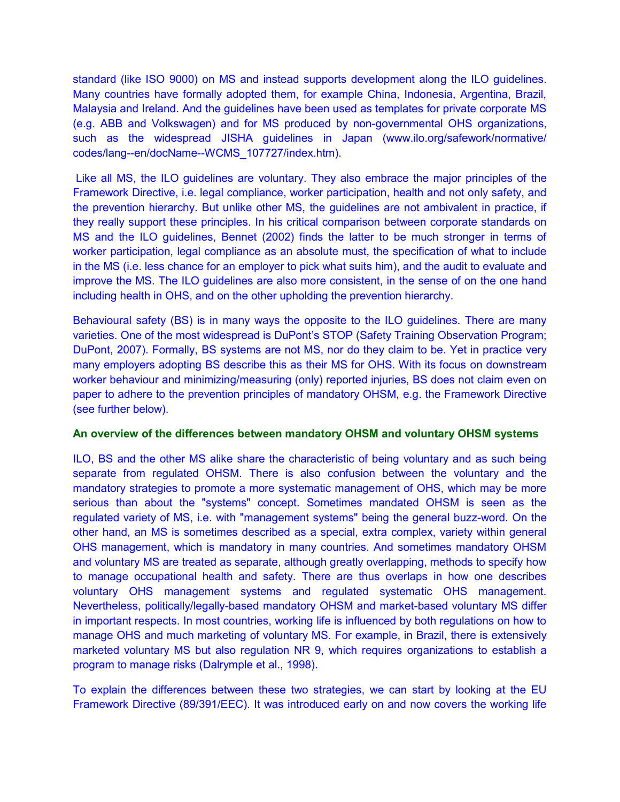standard (like ISO 9000) on MS and instead supports development along the ILO guidelines. Many countries have formally adopted them, for example China, Indonesia, Argentina, Brazil, Malaysia and Ireland. And the guidelines have been used as templates for private corporate MS (e.g. ABB and Volkswagen) and for MS produced by non-governmental OHS organizations, such as the widespread JISHA guidelines in Japan (www.ilo.org/safework/normative/ codes/lang--en/docName--WCMS\_107727/index.htm).

Like all MS, the ILO guidelines are voluntary. They also embrace the major principles of the Framework Directive, i.e. legal compliance, worker participation, health and not only safety, and the prevention hierarchy. But unlike other MS, the guidelines are not ambivalent in practice, if they really support these principles. In his critical comparison between corporate standards on MS and the ILO guidelines, Bennet (2002) finds the latter to be much stronger in terms of worker participation, legal compliance as an absolute must, the specification of what to include in the MS (i.e. less chance for an employer to pick what suits him), and the audit to evaluate and improve the MS. The ILO guidelines are also more consistent, in the sense of on the one hand including health in OHS, and on the other upholding the prevention hierarchy.

Behavioural safety (BS) is in many ways the opposite to the ILO guidelines. There are many varieties. One of the most widespread is DuPont's STOP (Safety Training Observation Program; DuPont, 2007). Formally, BS systems are not MS, nor do they claim to be. Yet in practice very many employers adopting BS describe this as their MS for OHS. With its focus on downstream worker behaviour and minimizing/measuring (only) reported injuries, BS does not claim even on paper to adhere to the prevention principles of mandatory OHSM, e.g. the Framework Directive (see further below).

## **An overview of the differences between mandatory OHSM and voluntary OHSM systems**

ILO, BS and the other MS alike share the characteristic of being voluntary and as such being separate from regulated OHSM. There is also confusion between the voluntary and the mandatory strategies to promote a more systematic management of OHS, which may be more serious than about the "systems" concept. Sometimes mandated OHSM is seen as the regulated variety of MS, i.e. with "management systems" being the general buzz-word. On the other hand, an MS is sometimes described as a special, extra complex, variety within general OHS management, which is mandatory in many countries. And sometimes mandatory OHSM and voluntary MS are treated as separate, although greatly overlapping, methods to specify how to manage occupational health and safety. There are thus overlaps in how one describes voluntary OHS management systems and regulated systematic OHS management. Nevertheless, politically/legally-based mandatory OHSM and market-based voluntary MS differ in important respects. In most countries, working life is influenced by both regulations on how to manage OHS and much marketing of voluntary MS. For example, in Brazil, there is extensively marketed voluntary MS but also regulation NR 9, which requires organizations to establish a program to manage risks (Dalrymple et al., 1998).

To explain the differences between these two strategies, we can start by looking at the EU Framework Directive (89/391/EEC). It was introduced early on and now covers the working life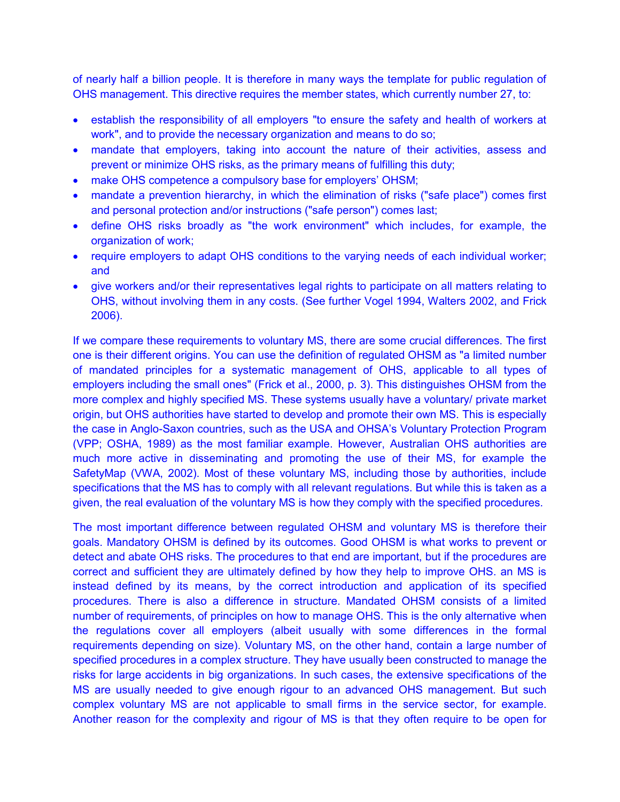of nearly half a billion people. It is therefore in many ways the template for public regulation of OHS management. This directive requires the member states, which currently number 27, to:

- establish the responsibility of all employers "to ensure the safety and health of workers at work", and to provide the necessary organization and means to do so;
- mandate that employers, taking into account the nature of their activities, assess and prevent or minimize OHS risks, as the primary means of fulfilling this duty;
- make OHS competence a compulsory base for employers' OHSM;
- mandate a prevention hierarchy, in which the elimination of risks ("safe place") comes first and personal protection and/or instructions ("safe person") comes last;
- define OHS risks broadly as "the work environment" which includes, for example, the organization of work;
- require employers to adapt OHS conditions to the varying needs of each individual worker; and
- give workers and/or their representatives legal rights to participate on all matters relating to OHS, without involving them in any costs. (See further Vogel 1994, Walters 2002, and Frick 2006).

If we compare these requirements to voluntary MS, there are some crucial differences. The first one is their different origins. You can use the definition of regulated OHSM as "a limited number of mandated principles for a systematic management of OHS, applicable to all types of employers including the small ones" (Frick et al., 2000, p. 3). This distinguishes OHSM from the more complex and highly specified MS. These systems usually have a voluntary/ private market origin, but OHS authorities have started to develop and promote their own MS. This is especially the case in Anglo-Saxon countries, such as the USA and OHSA's Voluntary Protection Program (VPP; OSHA, 1989) as the most familiar example. However, Australian OHS authorities are much more active in disseminating and promoting the use of their MS, for example the SafetyMap (VWA, 2002). Most of these voluntary MS, including those by authorities, include specifications that the MS has to comply with all relevant regulations. But while this is taken as a given, the real evaluation of the voluntary MS is how they comply with the specified procedures.

The most important difference between regulated OHSM and voluntary MS is therefore their goals. Mandatory OHSM is defined by its outcomes. Good OHSM is what works to prevent or detect and abate OHS risks. The procedures to that end are important, but if the procedures are correct and sufficient they are ultimately defined by how they help to improve OHS. an MS is instead defined by its means, by the correct introduction and application of its specified procedures. There is also a difference in structure. Mandated OHSM consists of a limited number of requirements, of principles on how to manage OHS. This is the only alternative when the regulations cover all employers (albeit usually with some differences in the formal requirements depending on size). Voluntary MS, on the other hand, contain a large number of specified procedures in a complex structure. They have usually been constructed to manage the risks for large accidents in big organizations. In such cases, the extensive specifications of the MS are usually needed to give enough rigour to an advanced OHS management. But such complex voluntary MS are not applicable to small firms in the service sector, for example. Another reason for the complexity and rigour of MS is that they often require to be open for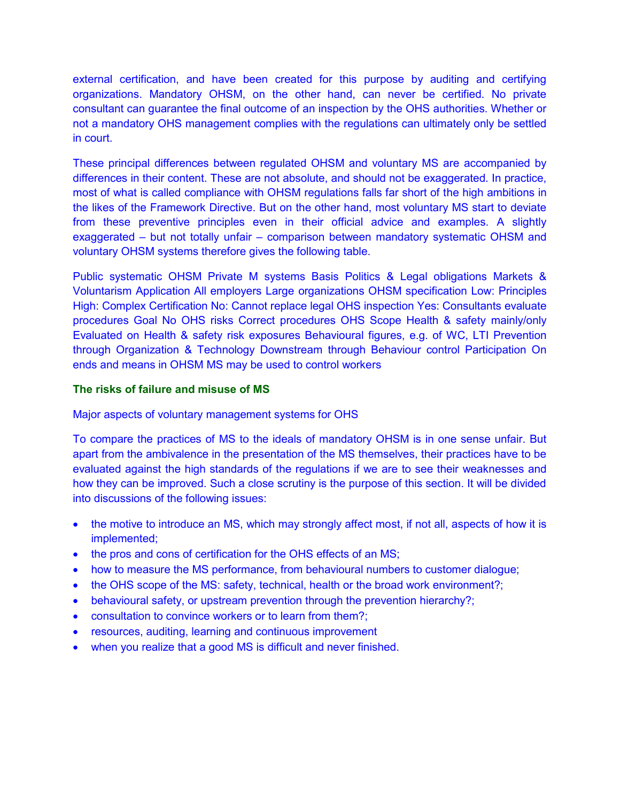external certification, and have been created for this purpose by auditing and certifying organizations. Mandatory OHSM, on the other hand, can never be certified. No private consultant can guarantee the final outcome of an inspection by the OHS authorities. Whether or not a mandatory OHS management complies with the regulations can ultimately only be settled in court.

These principal differences between regulated OHSM and voluntary MS are accompanied by differences in their content. These are not absolute, and should not be exaggerated. In practice, most of what is called compliance with OHSM regulations falls far short of the high ambitions in the likes of the Framework Directive. But on the other hand, most voluntary MS start to deviate from these preventive principles even in their official advice and examples. A slightly exaggerated – but not totally unfair – comparison between mandatory systematic OHSM and voluntary OHSM systems therefore gives the following table.

Public systematic OHSM Private M systems Basis Politics & Legal obligations Markets & Voluntarism Application All employers Large organizations OHSM specification Low: Principles High: Complex Certification No: Cannot replace legal OHS inspection Yes: Consultants evaluate procedures Goal No OHS risks Correct procedures OHS Scope Health & safety mainly/only Evaluated on Health & safety risk exposures Behavioural figures, e.g. of WC, LTI Prevention through Organization & Technology Downstream through Behaviour control Participation On ends and means in OHSM MS may be used to control workers

#### **The risks of failure and misuse of MS**

Major aspects of voluntary management systems for OHS

To compare the practices of MS to the ideals of mandatory OHSM is in one sense unfair. But apart from the ambivalence in the presentation of the MS themselves, their practices have to be evaluated against the high standards of the regulations if we are to see their weaknesses and how they can be improved. Such a close scrutiny is the purpose of this section. It will be divided into discussions of the following issues:

- the motive to introduce an MS, which may strongly affect most, if not all, aspects of how it is implemented;
- the pros and cons of certification for the OHS effects of an MS;
- how to measure the MS performance, from behavioural numbers to customer dialogue;
- the OHS scope of the MS: safety, technical, health or the broad work environment?;
- behavioural safety, or upstream prevention through the prevention hierarchy?;
- consultation to convince workers or to learn from them?;
- resources, auditing, learning and continuous improvement
- when you realize that a good MS is difficult and never finished.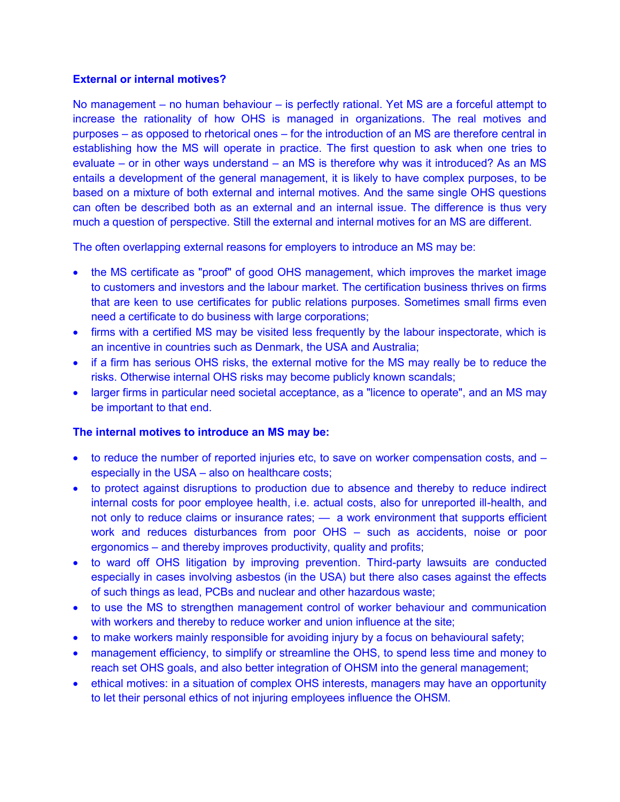#### **External or internal motives?**

No management – no human behaviour – is perfectly rational. Yet MS are a forceful attempt to increase the rationality of how OHS is managed in organizations. The real motives and purposes – as opposed to rhetorical ones – for the introduction of an MS are therefore central in establishing how the MS will operate in practice. The first question to ask when one tries to evaluate – or in other ways understand – an MS is therefore why was it introduced? As an MS entails a development of the general management, it is likely to have complex purposes, to be based on a mixture of both external and internal motives. And the same single OHS questions can often be described both as an external and an internal issue. The difference is thus very much a question of perspective. Still the external and internal motives for an MS are different.

The often overlapping external reasons for employers to introduce an MS may be:

- the MS certificate as "proof" of good OHS management, which improves the market image to customers and investors and the labour market. The certification business thrives on firms that are keen to use certificates for public relations purposes. Sometimes small firms even need a certificate to do business with large corporations;
- firms with a certified MS may be visited less frequently by the labour inspectorate, which is an incentive in countries such as Denmark, the USA and Australia;
- if a firm has serious OHS risks, the external motive for the MS may really be to reduce the risks. Otherwise internal OHS risks may become publicly known scandals;
- larger firms in particular need societal acceptance, as a "licence to operate", and an MS may be important to that end.

## **The internal motives to introduce an MS may be:**

- to reduce the number of reported injuries etc, to save on worker compensation costs, and especially in the USA – also on healthcare costs;
- to protect against disruptions to production due to absence and thereby to reduce indirect internal costs for poor employee health, i.e. actual costs, also for unreported ill-health, and not only to reduce claims or insurance rates; — a work environment that supports efficient work and reduces disturbances from poor OHS – such as accidents, noise or poor ergonomics – and thereby improves productivity, quality and profits;
- to ward off OHS litigation by improving prevention. Third-party lawsuits are conducted especially in cases involving asbestos (in the USA) but there also cases against the effects of such things as lead, PCBs and nuclear and other hazardous waste;
- to use the MS to strengthen management control of worker behaviour and communication with workers and thereby to reduce worker and union influence at the site;
- to make workers mainly responsible for avoiding injury by a focus on behavioural safety;
- management efficiency, to simplify or streamline the OHS, to spend less time and money to reach set OHS goals, and also better integration of OHSM into the general management;
- ethical motives: in a situation of complex OHS interests, managers may have an opportunity to let their personal ethics of not injuring employees influence the OHSM.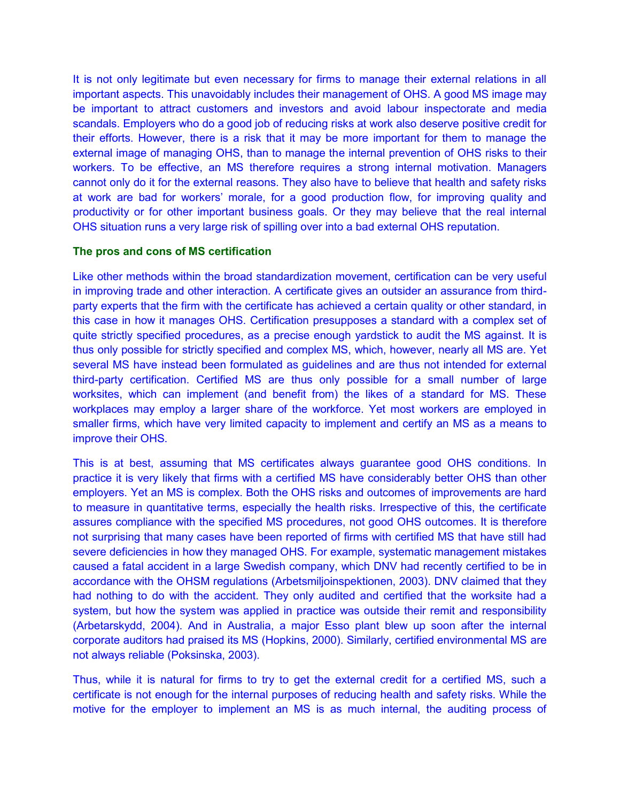It is not only legitimate but even necessary for firms to manage their external relations in all important aspects. This unavoidably includes their management of OHS. A good MS image may be important to attract customers and investors and avoid labour inspectorate and media scandals. Employers who do a good job of reducing risks at work also deserve positive credit for their efforts. However, there is a risk that it may be more important for them to manage the external image of managing OHS, than to manage the internal prevention of OHS risks to their workers. To be effective, an MS therefore requires a strong internal motivation. Managers cannot only do it for the external reasons. They also have to believe that health and safety risks at work are bad for workers' morale, for a good production flow, for improving quality and productivity or for other important business goals. Or they may believe that the real internal OHS situation runs a very large risk of spilling over into a bad external OHS reputation.

#### **The pros and cons of MS certification**

Like other methods within the broad standardization movement, certification can be very useful in improving trade and other interaction. A certificate gives an outsider an assurance from thirdparty experts that the firm with the certificate has achieved a certain quality or other standard, in this case in how it manages OHS. Certification presupposes a standard with a complex set of quite strictly specified procedures, as a precise enough yardstick to audit the MS against. It is thus only possible for strictly specified and complex MS, which, however, nearly all MS are. Yet several MS have instead been formulated as guidelines and are thus not intended for external third-party certification. Certified MS are thus only possible for a small number of large worksites, which can implement (and benefit from) the likes of a standard for MS. These workplaces may employ a larger share of the workforce. Yet most workers are employed in smaller firms, which have very limited capacity to implement and certify an MS as a means to improve their OHS.

This is at best, assuming that MS certificates always guarantee good OHS conditions. In practice it is very likely that firms with a certified MS have considerably better OHS than other employers. Yet an MS is complex. Both the OHS risks and outcomes of improvements are hard to measure in quantitative terms, especially the health risks. Irrespective of this, the certificate assures compliance with the specified MS procedures, not good OHS outcomes. It is therefore not surprising that many cases have been reported of firms with certified MS that have still had severe deficiencies in how they managed OHS. For example, systematic management mistakes caused a fatal accident in a large Swedish company, which DNV had recently certified to be in accordance with the OHSM regulations (Arbetsmiljoinspektionen, 2003). DNV claimed that they had nothing to do with the accident. They only audited and certified that the worksite had a system, but how the system was applied in practice was outside their remit and responsibility (Arbetarskydd, 2004). And in Australia, a major Esso plant blew up soon after the internal corporate auditors had praised its MS (Hopkins, 2000). Similarly, certified environmental MS are not always reliable (Poksinska, 2003).

Thus, while it is natural for firms to try to get the external credit for a certified MS, such a certificate is not enough for the internal purposes of reducing health and safety risks. While the motive for the employer to implement an MS is as much internal, the auditing process of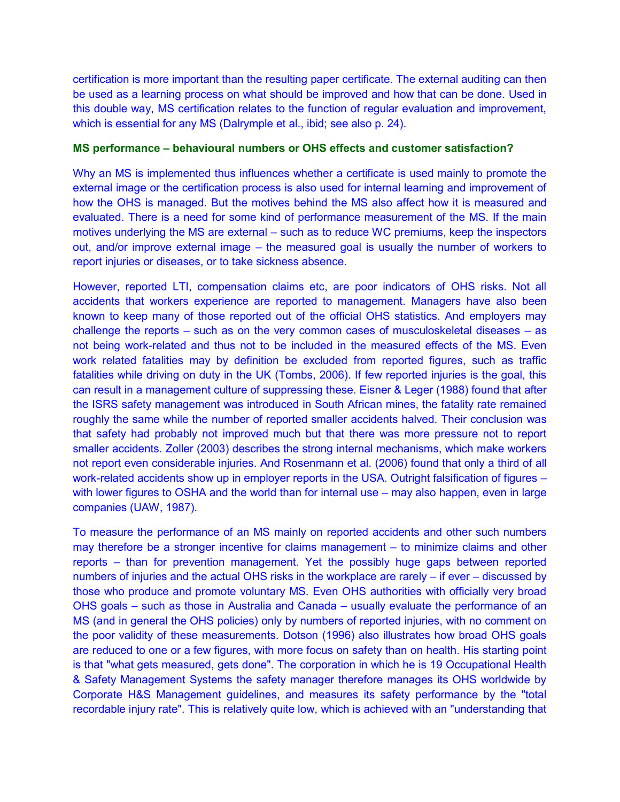certification is more important than the resulting paper certificate. The external auditing can then be used as a learning process on what should be improved and how that can be done. Used in this double way, MS certification relates to the function of regular evaluation and improvement, which is essential for any MS (Dalrymple et al., ibid; see also p. 24).

### **MS performance – behavioural numbers or OHS effects and customer satisfaction?**

Why an MS is implemented thus influences whether a certificate is used mainly to promote the external image or the certification process is also used for internal learning and improvement of how the OHS is managed. But the motives behind the MS also affect how it is measured and evaluated. There is a need for some kind of performance measurement of the MS. If the main motives underlying the MS are external – such as to reduce WC premiums, keep the inspectors out, and/or improve external image – the measured goal is usually the number of workers to report injuries or diseases, or to take sickness absence.

However, reported LTI, compensation claims etc, are poor indicators of OHS risks. Not all accidents that workers experience are reported to management. Managers have also been known to keep many of those reported out of the official OHS statistics. And employers may challenge the reports – such as on the very common cases of musculoskeletal diseases – as not being work-related and thus not to be included in the measured effects of the MS. Even work related fatalities may by definition be excluded from reported figures, such as traffic fatalities while driving on duty in the UK (Tombs, 2006). If few reported injuries is the goal, this can result in a management culture of suppressing these. Eisner & Leger (1988) found that after the ISRS safety management was introduced in South African mines, the fatality rate remained roughly the same while the number of reported smaller accidents halved. Their conclusion was that safety had probably not improved much but that there was more pressure not to report smaller accidents. Zoller (2003) describes the strong internal mechanisms, which make workers not report even considerable injuries. And Rosenmann et al. (2006) found that only a third of all work-related accidents show up in employer reports in the USA. Outright falsification of figures – with lower figures to OSHA and the world than for internal use – may also happen, even in large companies (UAW, 1987).

To measure the performance of an MS mainly on reported accidents and other such numbers may therefore be a stronger incentive for claims management – to minimize claims and other reports – than for prevention management. Yet the possibly huge gaps between reported numbers of injuries and the actual OHS risks in the workplace are rarely – if ever – discussed by those who produce and promote voluntary MS. Even OHS authorities with officially very broad OHS goals – such as those in Australia and Canada – usually evaluate the performance of an MS (and in general the OHS policies) only by numbers of reported injuries, with no comment on the poor validity of these measurements. Dotson (1996) also illustrates how broad OHS goals are reduced to one or a few figures, with more focus on safety than on health. His starting point is that "what gets measured, gets done". The corporation in which he is 19 Occupational Health & Safety Management Systems the safety manager therefore manages its OHS worldwide by Corporate H&S Management guidelines, and measures its safety performance by the "total recordable injury rate". This is relatively quite low, which is achieved with an "understanding that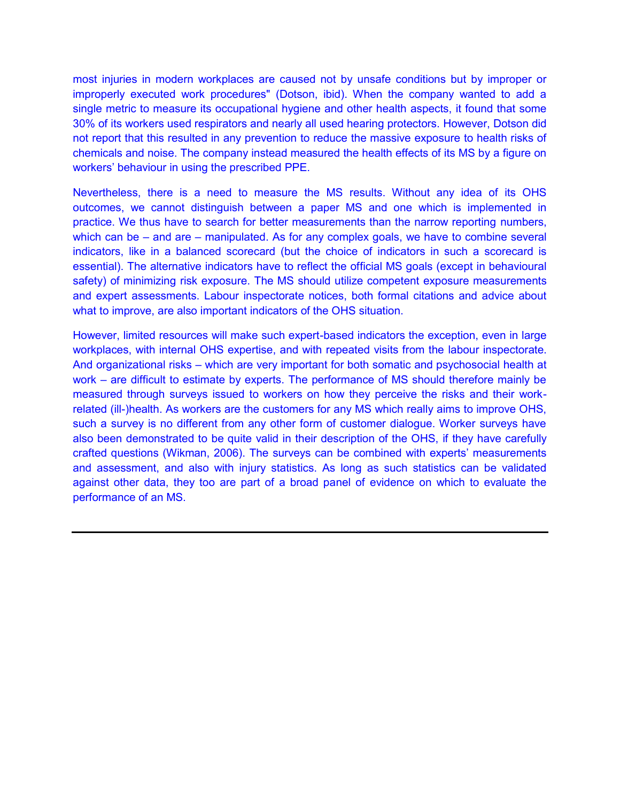most injuries in modern workplaces are caused not by unsafe conditions but by improper or improperly executed work procedures" (Dotson, ibid). When the company wanted to add a single metric to measure its occupational hygiene and other health aspects, it found that some 30% of its workers used respirators and nearly all used hearing protectors. However, Dotson did not report that this resulted in any prevention to reduce the massive exposure to health risks of chemicals and noise. The company instead measured the health effects of its MS by a figure on workers' behaviour in using the prescribed PPE.

Nevertheless, there is a need to measure the MS results. Without any idea of its OHS outcomes, we cannot distinguish between a paper MS and one which is implemented in practice. We thus have to search for better measurements than the narrow reporting numbers, which can be – and are – manipulated. As for any complex goals, we have to combine several indicators, like in a balanced scorecard (but the choice of indicators in such a scorecard is essential). The alternative indicators have to reflect the official MS goals (except in behavioural safety) of minimizing risk exposure. The MS should utilize competent exposure measurements and expert assessments. Labour inspectorate notices, both formal citations and advice about what to improve, are also important indicators of the OHS situation.

However, limited resources will make such expert-based indicators the exception, even in large workplaces, with internal OHS expertise, and with repeated visits from the labour inspectorate. And organizational risks – which are very important for both somatic and psychosocial health at work – are difficult to estimate by experts. The performance of MS should therefore mainly be measured through surveys issued to workers on how they perceive the risks and their workrelated (ill-)health. As workers are the customers for any MS which really aims to improve OHS, such a survey is no different from any other form of customer dialogue. Worker surveys have also been demonstrated to be quite valid in their description of the OHS, if they have carefully crafted questions (Wikman, 2006). The surveys can be combined with experts' measurements and assessment, and also with injury statistics. As long as such statistics can be validated against other data, they too are part of a broad panel of evidence on which to evaluate the performance of an MS.